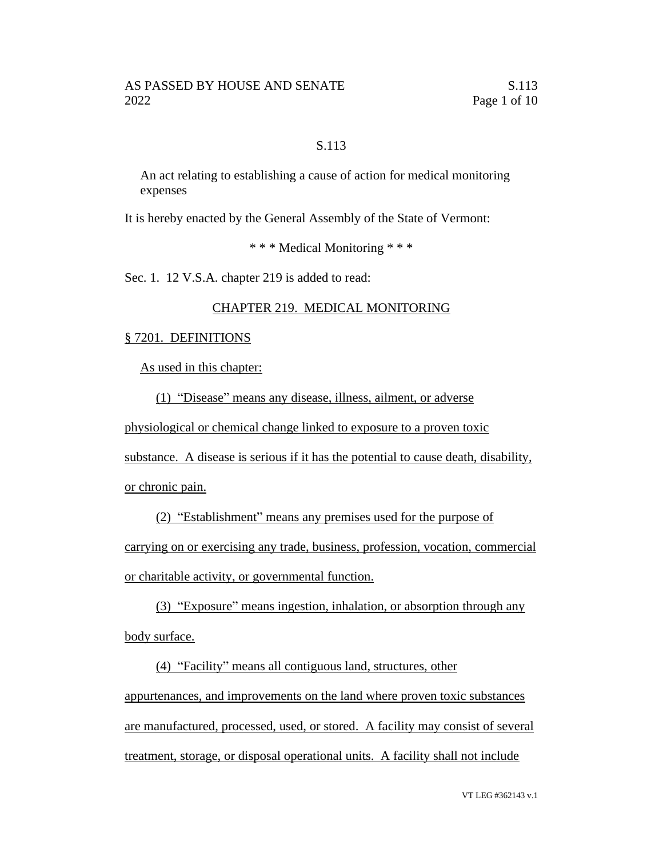## S.113

An act relating to establishing a cause of action for medical monitoring expenses

It is hereby enacted by the General Assembly of the State of Vermont:

\* \* \* Medical Monitoring \* \* \*

Sec. 1. 12 V.S.A. chapter 219 is added to read:

## CHAPTER 219. MEDICAL MONITORING

#### § 7201. DEFINITIONS

As used in this chapter:

(1) "Disease" means any disease, illness, ailment, or adverse

physiological or chemical change linked to exposure to a proven toxic

substance. A disease is serious if it has the potential to cause death, disability,

or chronic pain.

(2) "Establishment" means any premises used for the purpose of carrying on or exercising any trade, business, profession, vocation, commercial or charitable activity, or governmental function.

(3) "Exposure" means ingestion, inhalation, or absorption through any body surface.

(4) "Facility" means all contiguous land, structures, other appurtenances, and improvements on the land where proven toxic substances are manufactured, processed, used, or stored. A facility may consist of several treatment, storage, or disposal operational units. A facility shall not include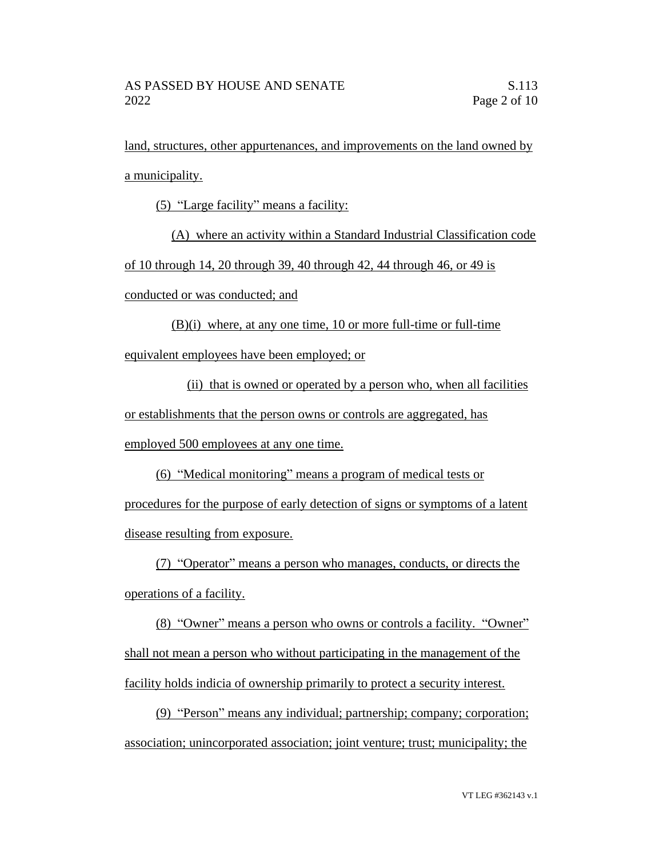land, structures, other appurtenances, and improvements on the land owned by a municipality.

(5) "Large facility" means a facility:

(A) where an activity within a Standard Industrial Classification code

of 10 through 14, 20 through 39, 40 through 42, 44 through 46, or 49 is

conducted or was conducted; and

(B)(i) where, at any one time, 10 or more full-time or full-time equivalent employees have been employed; or

(ii) that is owned or operated by a person who, when all facilities or establishments that the person owns or controls are aggregated, has employed 500 employees at any one time.

(6) "Medical monitoring" means a program of medical tests or procedures for the purpose of early detection of signs or symptoms of a latent

disease resulting from exposure.

(7) "Operator" means a person who manages, conducts, or directs the operations of a facility.

(8) "Owner" means a person who owns or controls a facility. "Owner" shall not mean a person who without participating in the management of the facility holds indicia of ownership primarily to protect a security interest.

(9) "Person" means any individual; partnership; company; corporation; association; unincorporated association; joint venture; trust; municipality; the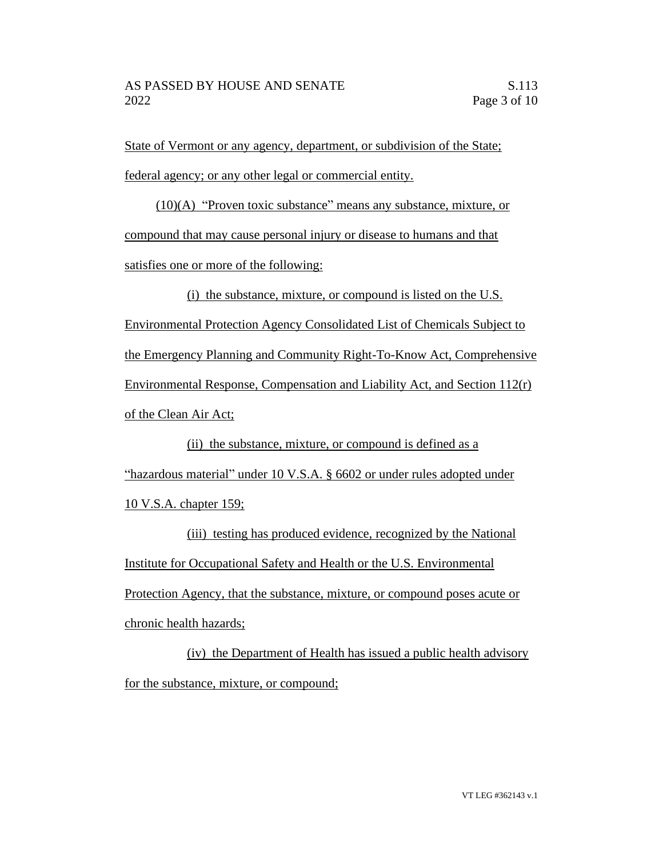State of Vermont or any agency, department, or subdivision of the State; federal agency; or any other legal or commercial entity.

(10)(A) "Proven toxic substance" means any substance, mixture, or compound that may cause personal injury or disease to humans and that satisfies one or more of the following:

(i) the substance, mixture, or compound is listed on the U.S. Environmental Protection Agency Consolidated List of Chemicals Subject to the Emergency Planning and Community Right-To-Know Act, Comprehensive Environmental Response, Compensation and Liability Act, and Section 112(r) of the Clean Air Act;

(ii) the substance, mixture, or compound is defined as a "hazardous material" under 10 V.S.A. § 6602 or under rules adopted under 10 V.S.A. chapter 159;

(iii) testing has produced evidence, recognized by the National Institute for Occupational Safety and Health or the U.S. Environmental Protection Agency, that the substance, mixture, or compound poses acute or chronic health hazards;

(iv) the Department of Health has issued a public health advisory for the substance, mixture, or compound;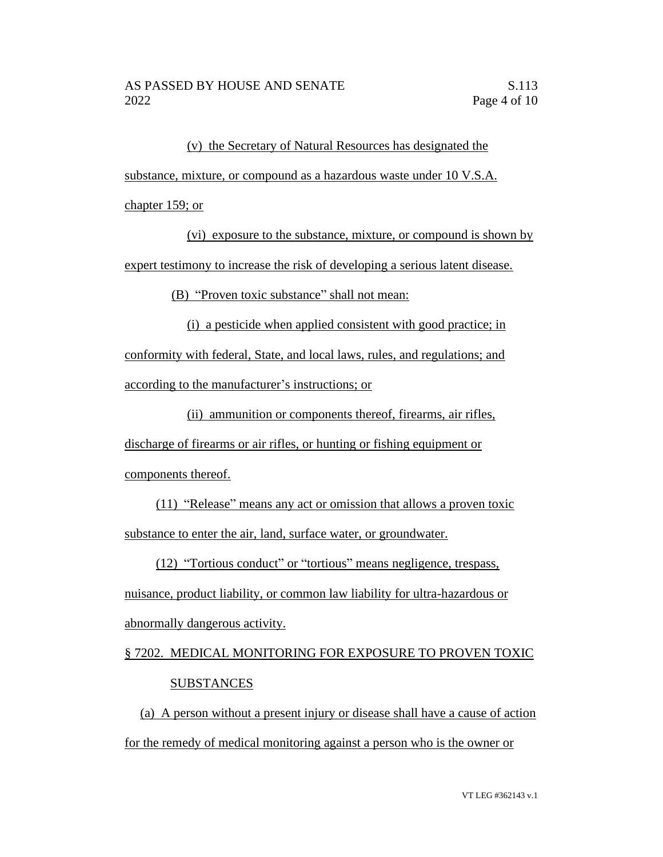(v) the Secretary of Natural Resources has designated the

substance, mixture, or compound as a hazardous waste under 10 V.S.A.

chapter 159; or

(vi) exposure to the substance, mixture, or compound is shown by expert testimony to increase the risk of developing a serious latent disease.

(B) "Proven toxic substance" shall not mean:

(i) a pesticide when applied consistent with good practice; in conformity with federal, State, and local laws, rules, and regulations; and according to the manufacturer's instructions; or

(ii) ammunition or components thereof, firearms, air rifles,

discharge of firearms or air rifles, or hunting or fishing equipment or components thereof.

(11) "Release" means any act or omission that allows a proven toxic substance to enter the air, land, surface water, or groundwater.

(12) "Tortious conduct" or "tortious" means negligence, trespass,

nuisance, product liability, or common law liability for ultra-hazardous or abnormally dangerous activity.

# § 7202. MEDICAL MONITORING FOR EXPOSURE TO PROVEN TOXIC **SUBSTANCES**

(a) A person without a present injury or disease shall have a cause of action for the remedy of medical monitoring against a person who is the owner or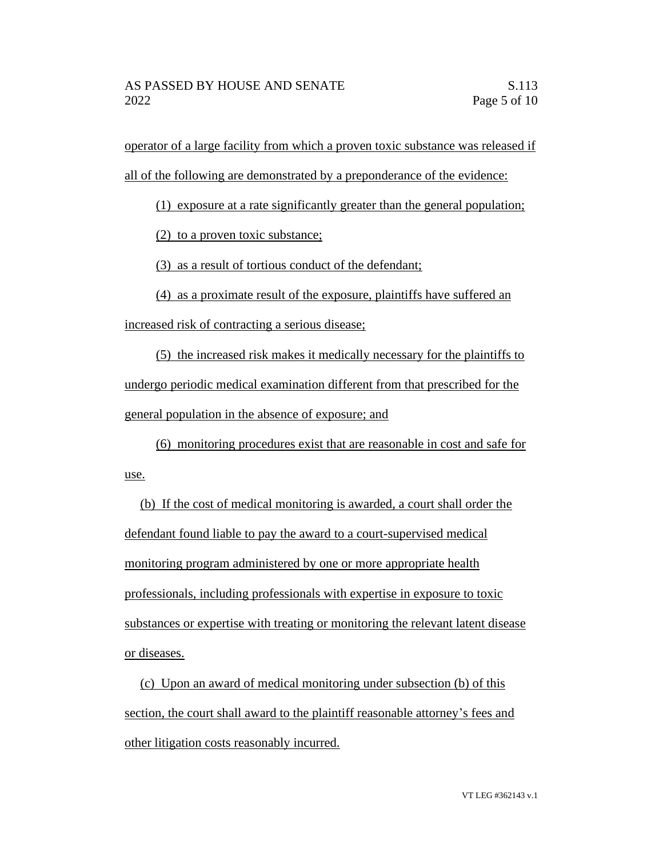operator of a large facility from which a proven toxic substance was released if all of the following are demonstrated by a preponderance of the evidence:

(1) exposure at a rate significantly greater than the general population;

(2) to a proven toxic substance;

(3) as a result of tortious conduct of the defendant;

(4) as a proximate result of the exposure, plaintiffs have suffered an increased risk of contracting a serious disease;

(5) the increased risk makes it medically necessary for the plaintiffs to undergo periodic medical examination different from that prescribed for the general population in the absence of exposure; and

(6) monitoring procedures exist that are reasonable in cost and safe for use.

(b) If the cost of medical monitoring is awarded, a court shall order the defendant found liable to pay the award to a court-supervised medical monitoring program administered by one or more appropriate health professionals, including professionals with expertise in exposure to toxic substances or expertise with treating or monitoring the relevant latent disease or diseases.

(c) Upon an award of medical monitoring under subsection (b) of this section, the court shall award to the plaintiff reasonable attorney's fees and other litigation costs reasonably incurred.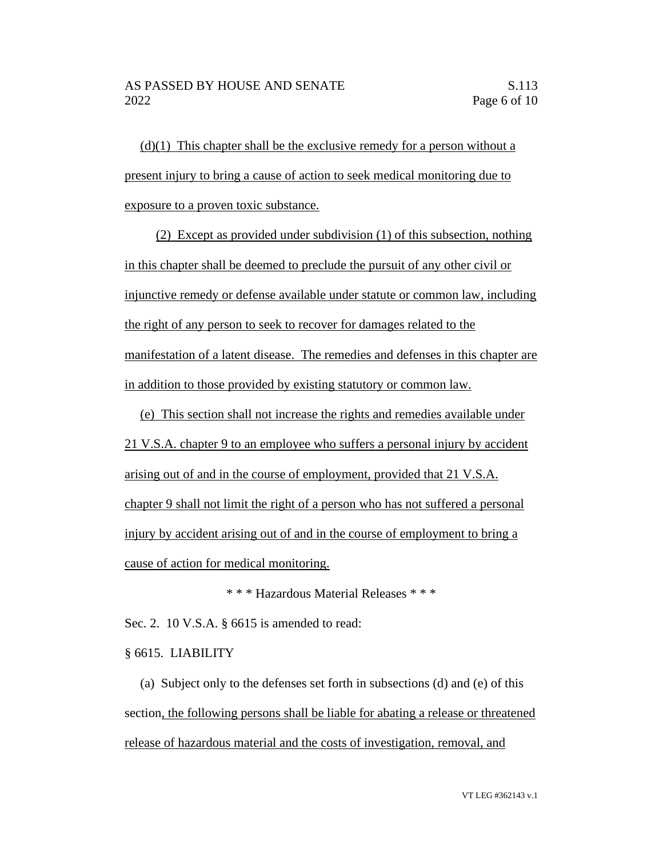$(d)(1)$  This chapter shall be the exclusive remedy for a person without a present injury to bring a cause of action to seek medical monitoring due to exposure to a proven toxic substance.

(2) Except as provided under subdivision (1) of this subsection, nothing in this chapter shall be deemed to preclude the pursuit of any other civil or injunctive remedy or defense available under statute or common law, including the right of any person to seek to recover for damages related to the manifestation of a latent disease. The remedies and defenses in this chapter are in addition to those provided by existing statutory or common law.

(e) This section shall not increase the rights and remedies available under 21 V.S.A. chapter 9 to an employee who suffers a personal injury by accident arising out of and in the course of employment, provided that 21 V.S.A. chapter 9 shall not limit the right of a person who has not suffered a personal injury by accident arising out of and in the course of employment to bring a cause of action for medical monitoring.

\* \* \* Hazardous Material Releases \* \* \*

Sec. 2. 10 V.S.A. § 6615 is amended to read:

§ 6615. LIABILITY

(a) Subject only to the defenses set forth in subsections (d) and (e) of this section, the following persons shall be liable for abating a release or threatened release of hazardous material and the costs of investigation, removal, and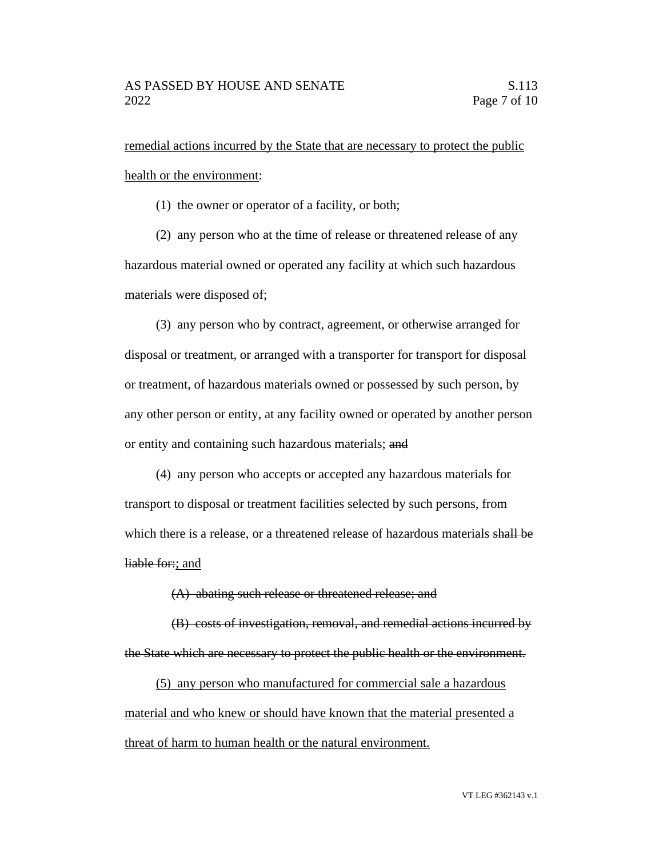remedial actions incurred by the State that are necessary to protect the public health or the environment:

(1) the owner or operator of a facility, or both;

(2) any person who at the time of release or threatened release of any hazardous material owned or operated any facility at which such hazardous materials were disposed of;

(3) any person who by contract, agreement, or otherwise arranged for disposal or treatment, or arranged with a transporter for transport for disposal or treatment, of hazardous materials owned or possessed by such person, by any other person or entity, at any facility owned or operated by another person or entity and containing such hazardous materials; and

(4) any person who accepts or accepted any hazardous materials for transport to disposal or treatment facilities selected by such persons, from which there is a release, or a threatened release of hazardous materials shall be liable for:; and

(A) abating such release or threatened release; and

(B) costs of investigation, removal, and remedial actions incurred by the State which are necessary to protect the public health or the environment.

(5) any person who manufactured for commercial sale a hazardous material and who knew or should have known that the material presented a threat of harm to human health or the natural environment.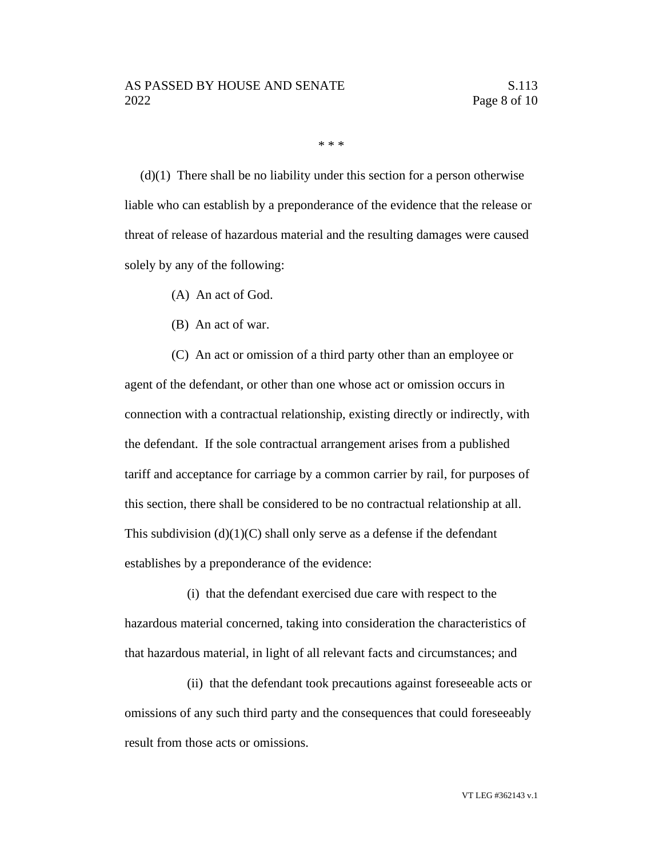\* \* \*

 $(d)(1)$  There shall be no liability under this section for a person otherwise liable who can establish by a preponderance of the evidence that the release or threat of release of hazardous material and the resulting damages were caused solely by any of the following:

- (A) An act of God.
- (B) An act of war.

(C) An act or omission of a third party other than an employee or agent of the defendant, or other than one whose act or omission occurs in connection with a contractual relationship, existing directly or indirectly, with the defendant. If the sole contractual arrangement arises from a published tariff and acceptance for carriage by a common carrier by rail, for purposes of this section, there shall be considered to be no contractual relationship at all. This subdivision  $(d)(1)(C)$  shall only serve as a defense if the defendant establishes by a preponderance of the evidence:

(i) that the defendant exercised due care with respect to the hazardous material concerned, taking into consideration the characteristics of that hazardous material, in light of all relevant facts and circumstances; and

(ii) that the defendant took precautions against foreseeable acts or omissions of any such third party and the consequences that could foreseeably result from those acts or omissions.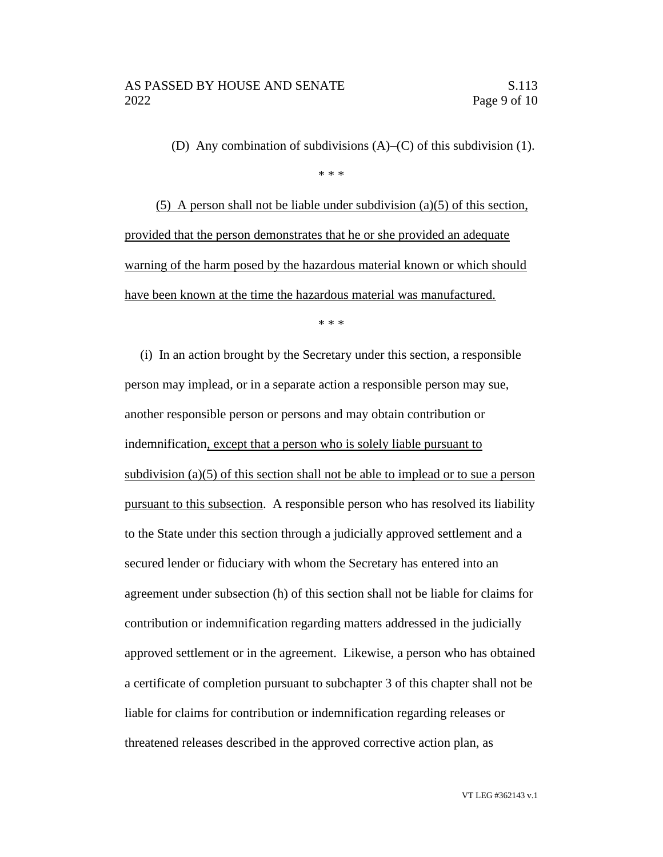(D) Any combination of subdivisions (A)–(C) of this subdivision (1).

(5) A person shall not be liable under subdivision (a)(5) of this section, provided that the person demonstrates that he or she provided an adequate warning of the harm posed by the hazardous material known or which should have been known at the time the hazardous material was manufactured.

\* \* \*

(i) In an action brought by the Secretary under this section, a responsible person may implead, or in a separate action a responsible person may sue, another responsible person or persons and may obtain contribution or indemnification, except that a person who is solely liable pursuant to subdivision (a)(5) of this section shall not be able to implead or to sue a person pursuant to this subsection. A responsible person who has resolved its liability to the State under this section through a judicially approved settlement and a secured lender or fiduciary with whom the Secretary has entered into an agreement under subsection (h) of this section shall not be liable for claims for contribution or indemnification regarding matters addressed in the judicially approved settlement or in the agreement. Likewise, a person who has obtained a certificate of completion pursuant to subchapter 3 of this chapter shall not be liable for claims for contribution or indemnification regarding releases or threatened releases described in the approved corrective action plan, as

<sup>\* \* \*</sup>